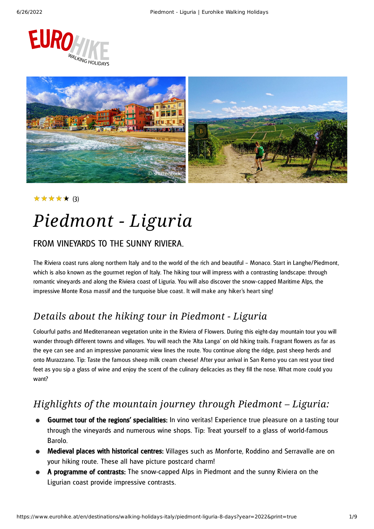



#### ★★★★★ (3)

# *Piedmont - Liguria*

### FROM VINEYARDS TO THE SUNNY RIVIERA.

The Riviera coast runs along northern Italy and to the world of the rich and beautiful – Monaco. Start in Langhe/Piedmont, which is also known as the gourmet region of Italy. The hiking tour will impress with a contrasting landscape: through romantic vineyards and along the Riviera coast of Liguria. You will also discover the snow-capped Maritime Alps, the impressive Monte Rosa massif and the turquoise blue coast. It will make any hiker's heart sing!

### *Details about the hiking tour in Piedmont - Liguria*

Colourful paths and Mediterranean vegetation unite in the Riviera of Flowers. During this eight-day mountain tour you will wander through different towns and villages. You will reach the 'Alta Langa' on old hiking trails. Fragrant flowers as far as the eye can see and an impressive panoramic view lines the route. You continue along the ridge, past sheep herds and onto Murazzano. Tip: Taste the famous sheep milk cream cheese! After your arrival in San Remo you can rest your tired feet as you sip a glass of wine and enjoy the scent of the culinary delicacies as they fill the nose. What more could you want?

## *Highlights of the mountain journey through Piedmont – Liguria:*

- Gourmet tour of the regions' specialities: In vino veritas! Experience true pleasure on a tasting tour  $\bullet$ through the vineyards and numerous wine shops. Tip: Treat yourself to a glass of world-famous Barolo.
- Medieval places with historical centres: Villages such as Monforte, Roddino and Serravalle are on your hiking route. These all have picture postcard charm!
- A programme of contrasts: The snow-capped Alps in Piedmont and the sunny Riviera on the Ligurian coast provide impressive contrasts.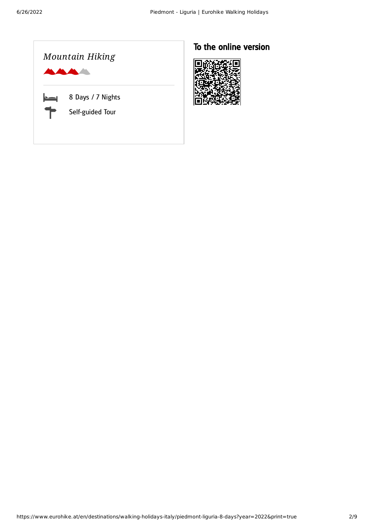

### To the online version

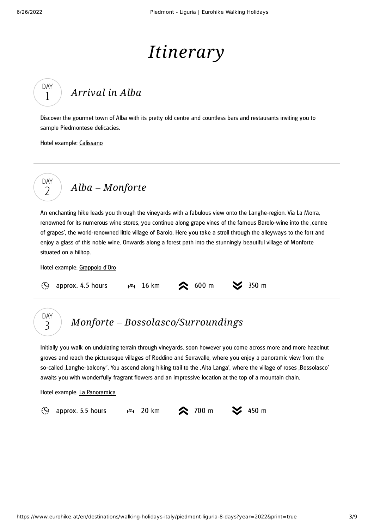DAY 1

# *Itinerary*

# *[Arrival](#page-2-0) in Alba*

<span id="page-2-0"></span>Discover the gourmet town of Alba with its pretty old centre and countless bars and restaurants inviting you to sample Piedmontese delicacies.

Hotel example: [Calissano](https://www.hotelcalissano.com/en/)

#### *Alba – [Monforte](#page-2-1)* DAY  $\overline{\phantom{a}}$

<span id="page-2-1"></span>An enchanting hike leads you through the vineyards with a fabulous view onto the Langhe-region. Via La Morra, renowned for its numerous wine stores, you continue along grape vines of the famous Barolo-wine into the ,centre of grapes', the world-renowned little village of Barolo. Here you take a stroll through the alleyways to the fort and enjoy a glass of this noble wine. Onwards along a forest path into the stunningly beautiful village of Monforte situated on a hilltop.

Hotel example: [Grappolo](http://www.grappolodoro.net/indexIng.asp) d'Oro

|  | $\circled{S}$ approx. 4.5 hours |  | $\frac{1}{2}$ 16 km $\approx$ 600 m | $\frac{350 \text{ m}}{2}$ |
|--|---------------------------------|--|-------------------------------------|---------------------------|
|--|---------------------------------|--|-------------------------------------|---------------------------|



## *Monforte – [Bossolasco/Surroundings](#page-2-2)*

<span id="page-2-2"></span>Initially you walk on undulating terrain through vineyards, soon however you come across more and more hazelnut groves and reach the picturesque villages of Roddino and Serravalle, where you enjoy a panoramic view from the so-called ,Langhe-balcony'. You ascend along hiking trail to the ,Alta Langa', where the village of roses ,Bossolasco' awaits you with wonderfully fragrant flowers and an impressive location at the top of a mountain chain.

Hotel example: La [Panoramica](https://www.lapanoramica.com/)

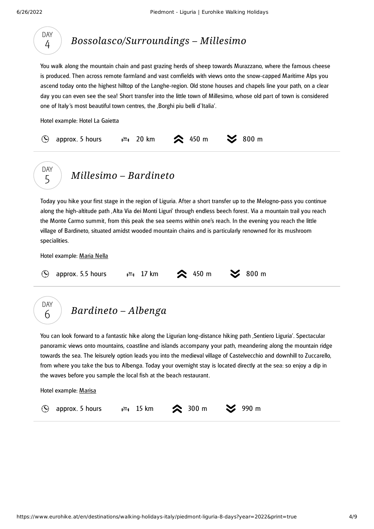

## *[Bossolasco/Surroundings](#page-3-0) – Millesimo*

<span id="page-3-0"></span>You walk along the mountain chain and past grazing herds of sheep towards Murazzano, where the famous cheese is produced. Then across remote farmland and vast cornfields with views onto the snow-capped Maritime Alps you ascend today onto the highest hilltop of the Langhe-region. Old stone houses and chapels line your path, on a clear day you can even see the sea! Short transfer into the little town of Millesimo, whose old part of town is considered one of Italy's most beautiful town centres, the ,Borghi piu belli d'Italia'.

Hotel example: Hotel La Gaietta





DAY 6

### *Millesimo – [Bardineto](#page-3-1)*

<span id="page-3-1"></span>Today you hike your first stage in the region of Liguria. After a short transfer up to the Melogno-pass you continue along the high-altitude path 'Alta Via dei Monti Liguri' through endless beech forest. Via a mountain trail you reach the Monte Carmo summit, from this peak the sea seems within one's reach. In the evening you reach the little village of Bardineto, situated amidst wooded mountain chains and is particularly renowned for its mushroom specialities.

Hotel example: [Maria](http://www.hotelmarianella.com/) Nella

|  | $\circledS$ approx. 5.5 hours | $\frac{1}{2}$ 17 km $\approx$ 450 m $\approx$ 800 m |  |  |  |
|--|-------------------------------|-----------------------------------------------------|--|--|--|
|--|-------------------------------|-----------------------------------------------------|--|--|--|

## *[Bardineto](#page-3-2) – Albenga*

<span id="page-3-2"></span>You can look forward to a fantastic hike along the Ligurian long-distance hiking path , Sentiero Liguria'. Spectacular panoramic views onto mountains, coastline and islands accompany your path, meandering along the mountain ridge towards the sea. The leisurely option leads you into the medieval village of Castelvecchio and downhill to Zuccarello, from where you take the bus to Albenga. Today your overnight stay is located directly at the sea: so enjoy a dip in the waves before you sample the local fish at the beach restaurant.

Hotel example: [Marisa](https://www.marisahotel.com/default.aspx?l=en)

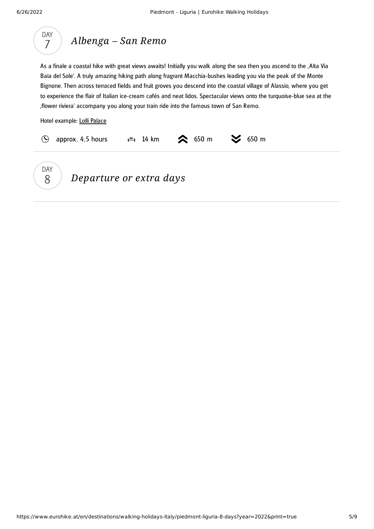

<span id="page-4-0"></span>As a finale a coastal hike with great views awaits! Initially you walk along the sea then you ascend to the ,Alta Via Baia del Sole'. A truly amazing hiking path along fragrant Macchia-bushes leading you via the peak of the Monte Bignone. Then across terraced fields and fruit groves you descend into the coastal village of Alassio, where you get to experience the flair of Italian ice-cream cafés and neat lidos. Spectacular views onto the turquoise-blue sea at the 'flower riviera' accompany you along your train ride into the famous town of San Remo.

Hotel example: Lolli [Palace](https://www.lollihotel.it/?lang=en)





*Departure or extra days*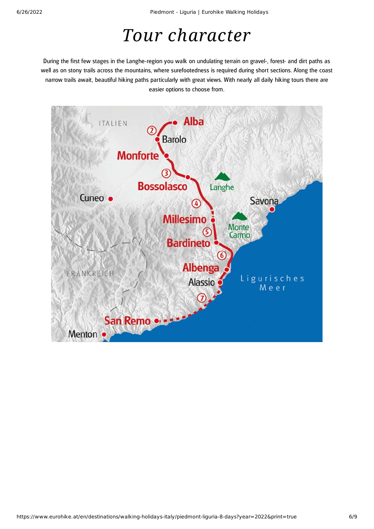# *Tour character*

During the first few stages in the Langhe-region you walk on undulating terrain on gravel-, forest- and dirt paths as well as on stony trails across the mountains, where surefootedness is required during short sections. Along the coast narrow trails await, beautiful hiking paths particularly with great views. With nearly all daily hiking tours there are easier options to choose from.

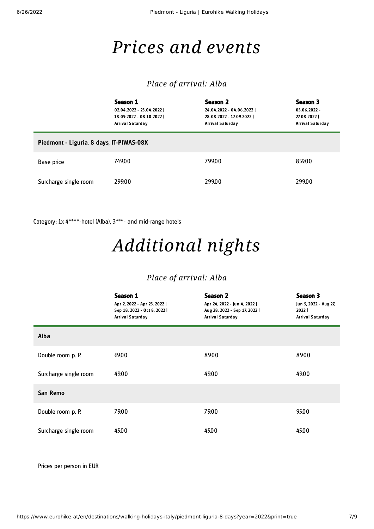## *Prices and events*

### *Place of arrival: Alba*

|                                          | Season 1<br>02.04.2022 - 23.04.2022  <br>18.09.2022 - 08.10.2022  <br>Arrival Saturday | Season 2<br>24.04.2022 - 04.06.2022  <br>28.08.2022 - 17.09.2022  <br><b>Arrival Saturday</b> | Season 3<br>05.06.2022 -<br>27.08.2022<br>Arrival Saturday |  |  |  |
|------------------------------------------|----------------------------------------------------------------------------------------|-----------------------------------------------------------------------------------------------|------------------------------------------------------------|--|--|--|
| Piedmont - Liguria, 8 days, IT-PIWAS-08X |                                                                                        |                                                                                               |                                                            |  |  |  |
| Base price                               | 749.00                                                                                 | 799.00                                                                                        | 859.00                                                     |  |  |  |
| Surcharge single room                    | 299.00                                                                                 | 299.00                                                                                        | 299.00                                                     |  |  |  |

Category: 1x 4\*\*\*\*-hotel (Alba), 3\*\*\*- and mid-range hotels

# *Additional nights*

### *Place of arrival: Alba*

|                       | Season 1<br>Apr 2, 2022 - Apr 23, 2022  <br>Sep 18, 2022 - Oct 8, 2022  <br>Arrival Saturday | Season 2<br>Apr 24, 2022 - Jun 4, 2022  <br>Aug 28, 2022 - Sep 17, 2022  <br>Arrival Saturday | Season 3<br>Jun 5, 2022 - Aug 27,<br>2022<br>Arrival Saturday |
|-----------------------|----------------------------------------------------------------------------------------------|-----------------------------------------------------------------------------------------------|---------------------------------------------------------------|
| Alba                  |                                                                                              |                                                                                               |                                                               |
| Double room p. P.     | 69.00                                                                                        | 89.00                                                                                         | 89.00                                                         |
| Surcharge single room | 49.00                                                                                        | 49.00                                                                                         | 49.00                                                         |
| San Remo              |                                                                                              |                                                                                               |                                                               |
| Double room p. P.     | 79.00                                                                                        | 79.00                                                                                         | 95.00                                                         |
| Surcharge single room | 45.00                                                                                        | 45.00                                                                                         | 45.00                                                         |

Prices per person in EUR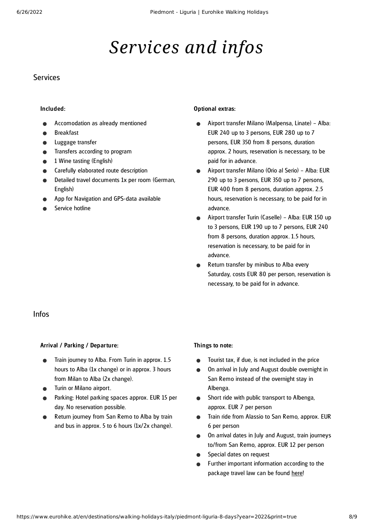# *Services and infos*

#### **Services**

#### Included:

- Accomodation as already mentioned
- Breakfast
- Luggage transfer
- Transfers according to program
- 1 Wine tasting (English)
- Carefully elaborated route description
- Detailed travel documents 1x per room (German, English)
- App for Navigation and GPS-data available
- Service hotline

#### Optional extras:

- Airport transfer Milano (Malpensa, Linate) Alba: EUR 240 up to 3 persons, EUR 280 up to 7 persons, EUR 350 from 8 persons, duration approx. 2 hours, reservation is necessary, to be paid for in advance.
- Airport transfer Milano (Orio al Serio) Alba: EUR  $\bullet$ 290 up to 3 persons, EUR 350 up to 7 persons, EUR 400 from 8 persons, duration approx. 2.5 hours, reservation is necessary, to be paid for in advance.
- $\bullet$ Airport transfer Turin (Caselle) – Alba: EUR 150 up to 3 persons, EUR 190 up to 7 persons, EUR 240 from 8 persons, duration approx. 1.5 hours, reservation is necessary, to be paid for in advance.
- Return transfer by minibus to Alba every  $\bullet$ Saturday, costs EUR 80 per person, reservation is necessary, to be paid for in advance.

#### Infos

#### Arrival / Parking / Departure:

- Train journey to Alba. From Turin in approx. 1.5 hours to Alba (1x change) or in approx. 3 hours from Milan to Alba (2x change).
- Turin or Milano airport.
- Parking: Hotel parking spaces approx. EUR 15 per day. No reservation possible.
- Return journey from San Remo to Alba by train and bus in approx. 5 to 6 hours (1x/2x change).

#### Things to note:

- Tourist tax, if due, is not included in the price  $\bullet$
- On arrival in July and August double overnight in  $\bullet$ San Remo instead of the overnight stay in Albenga.
- $\bullet$ Short ride with public transport to Albenga, approx. EUR 7 per person
- Train ride from Alassio to San Remo, approx. EUR  $\bullet$ 6 per person
- On arrival dates in July and August, train journeys  $\bullet$ to/from San Remo, approx. EUR 12 per person
- $\bullet$ Special dates on request
- Further important information according to the package travel law can be found [here](https://www.eurohike.at/en/travel-information/before-the-tour/pci)!